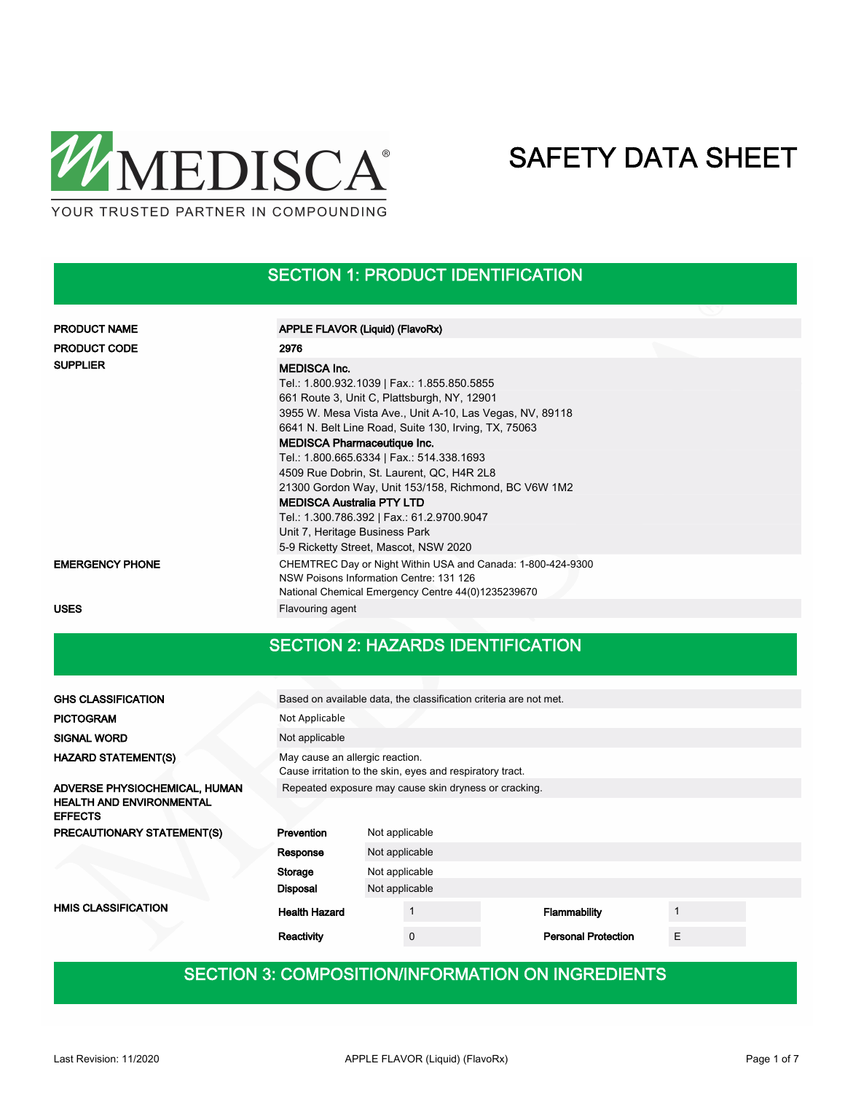

## SECTION 1: PRODUCT IDENTIFICATION

| <b>PRODUCT NAME</b>    | APPLE FLAVOR (Liquid) (FlavoRx)                                                                                                                                                                                                                                                                                                                                                                                                                                                                                                                   |
|------------------------|---------------------------------------------------------------------------------------------------------------------------------------------------------------------------------------------------------------------------------------------------------------------------------------------------------------------------------------------------------------------------------------------------------------------------------------------------------------------------------------------------------------------------------------------------|
| <b>PRODUCT CODE</b>    | 2976                                                                                                                                                                                                                                                                                                                                                                                                                                                                                                                                              |
| <b>SUPPLIER</b>        | <b>MEDISCA Inc.</b><br>Tel.: 1.800.932.1039   Fax.: 1.855.850.5855<br>661 Route 3, Unit C, Plattsburgh, NY, 12901<br>3955 W. Mesa Vista Ave., Unit A-10, Las Vegas, NV, 89118<br>6641 N. Belt Line Road, Suite 130, Irving, TX, 75063<br><b>MEDISCA Pharmaceutique Inc.</b><br>Tel.: 1.800.665.6334   Fax.: 514.338.1693<br>4509 Rue Dobrin, St. Laurent, QC, H4R 2L8<br>21300 Gordon Way, Unit 153/158, Richmond, BC V6W 1M2<br><b>MEDISCA Australia PTY LTD</b><br>Tel.: 1.300.786.392   Fax.: 61.2.9700.9047<br>Unit 7, Heritage Business Park |
|                        | 5-9 Ricketty Street, Mascot, NSW 2020                                                                                                                                                                                                                                                                                                                                                                                                                                                                                                             |
| <b>EMERGENCY PHONE</b> | CHEMTREC Day or Night Within USA and Canada: 1-800-424-9300<br>NSW Poisons Information Centre: 131 126<br>National Chemical Emergency Centre 44(0)1235239670                                                                                                                                                                                                                                                                                                                                                                                      |
| <b>USES</b>            | Flavouring agent                                                                                                                                                                                                                                                                                                                                                                                                                                                                                                                                  |

## SECTION 2: HAZARDS IDENTIFICATION

| <b>GHS CLASSIFICATION</b>                                                          |                                                                                              | Based on available data, the classification criteria are not met. |                            |   |  |  |  |  |  |
|------------------------------------------------------------------------------------|----------------------------------------------------------------------------------------------|-------------------------------------------------------------------|----------------------------|---|--|--|--|--|--|
| <b>PICTOGRAM</b>                                                                   | Not Applicable                                                                               |                                                                   |                            |   |  |  |  |  |  |
| <b>SIGNAL WORD</b>                                                                 | Not applicable                                                                               |                                                                   |                            |   |  |  |  |  |  |
| <b>HAZARD STATEMENT(S)</b>                                                         | May cause an allergic reaction.<br>Cause irritation to the skin, eyes and respiratory tract. |                                                                   |                            |   |  |  |  |  |  |
| ADVERSE PHYSIOCHEMICAL, HUMAN<br><b>HEALTH AND ENVIRONMENTAL</b><br><b>EFFECTS</b> | Repeated exposure may cause skin dryness or cracking.                                        |                                                                   |                            |   |  |  |  |  |  |
| PRECAUTIONARY STATEMENT(S)                                                         | Prevention                                                                                   | Not applicable                                                    |                            |   |  |  |  |  |  |
|                                                                                    | Response                                                                                     | Not applicable                                                    |                            |   |  |  |  |  |  |
|                                                                                    | Storage                                                                                      | Not applicable                                                    |                            |   |  |  |  |  |  |
|                                                                                    | Disposal                                                                                     | Not applicable                                                    |                            |   |  |  |  |  |  |
| <b>HMIS CLASSIFICATION</b>                                                         | <b>Health Hazard</b>                                                                         |                                                                   | Flammability               | 1 |  |  |  |  |  |
|                                                                                    | Reactivity                                                                                   | $\Omega$                                                          | <b>Personal Protection</b> | E |  |  |  |  |  |

## SECTION 3: COMPOSITION/INFORMATION ON INGREDIENTS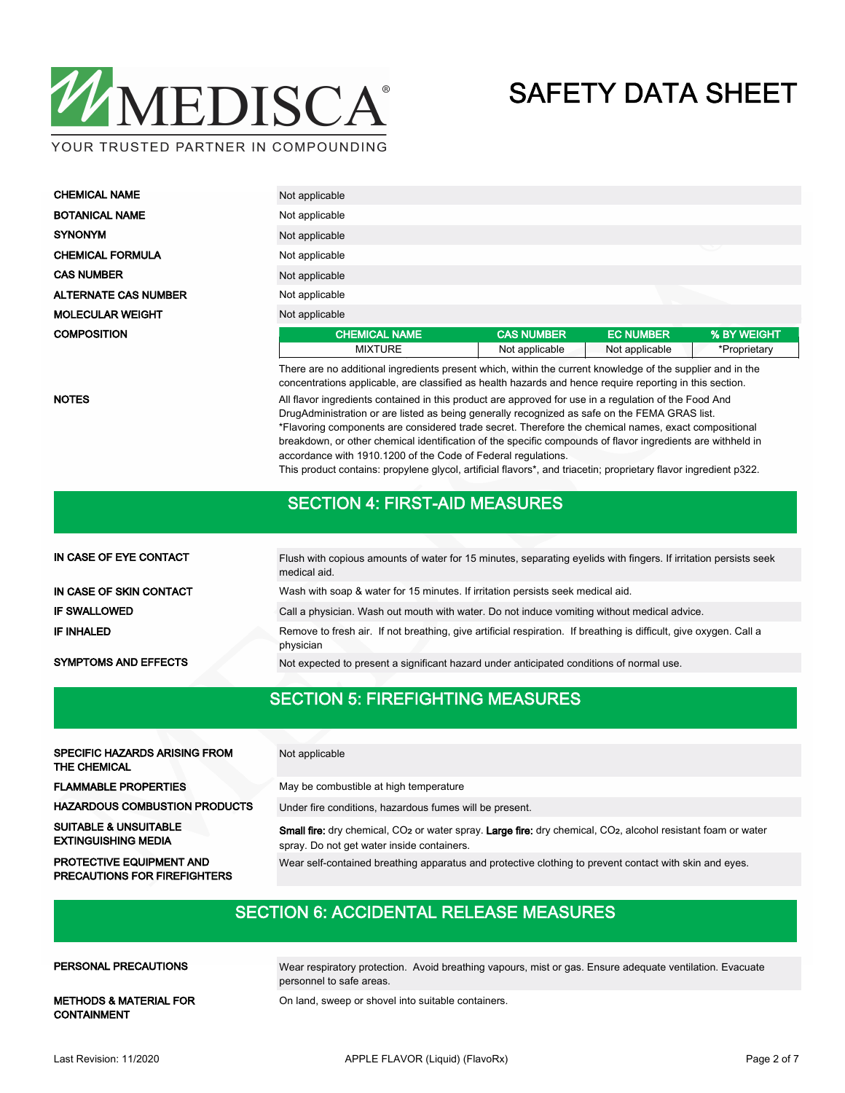

| <b>CHEMICAL NAME</b>        | Not applicable                                                                                                                                                                                                         |                   |                  |              |  |  |  |  |  |
|-----------------------------|------------------------------------------------------------------------------------------------------------------------------------------------------------------------------------------------------------------------|-------------------|------------------|--------------|--|--|--|--|--|
| <b>BOTANICAL NAME</b>       | Not applicable                                                                                                                                                                                                         |                   |                  |              |  |  |  |  |  |
| <b>SYNONYM</b>              | Not applicable                                                                                                                                                                                                         |                   |                  |              |  |  |  |  |  |
| <b>CHEMICAL FORMULA</b>     | Not applicable                                                                                                                                                                                                         |                   |                  | ◡            |  |  |  |  |  |
| <b>CAS NUMBER</b>           | Not applicable                                                                                                                                                                                                         |                   |                  |              |  |  |  |  |  |
| <b>ALTERNATE CAS NUMBER</b> | Not applicable                                                                                                                                                                                                         |                   |                  |              |  |  |  |  |  |
| <b>MOLECULAR WEIGHT</b>     | Not applicable                                                                                                                                                                                                         |                   |                  |              |  |  |  |  |  |
| <b>COMPOSITION</b>          | <b>CHEMICAL NAME</b>                                                                                                                                                                                                   | <b>CAS NUMBER</b> | <b>EC NUMBER</b> | % BY WEIGHT  |  |  |  |  |  |
|                             | <b>MIXTURE</b>                                                                                                                                                                                                         | Not applicable    | Not applicable   | *Proprietary |  |  |  |  |  |
|                             | There are no additional ingredients present which, within the current knowledge of the supplier and in the<br>concentrations applicable, are classified as health hazards and hence require reporting in this section. |                   |                  |              |  |  |  |  |  |

NOTES **All flavor ingredients contained in this product are approved for use in a regulation of the Food And** DrugAdministration or are listed as being generally recognized as safe on the FEMA GRAS list. \*Flavoring components are considered trade secret. Therefore the chemical names, exact compositional breakdown, or other chemical identification of the specific compounds of flavor ingredients are withheld in accordance with 1910.1200 of the Code of Federal regulations.

This product contains: propylene glycol, artificial flavors\*, and triacetin; proprietary flavor ingredient p322.

### SECTION 4: FIRST-AID MEASURES

| IN CASE OF EYE CONTACT      | Flush with copious amounts of water for 15 minutes, separating eyelids with fingers. If irritation persists seek<br>medical aid. |
|-----------------------------|----------------------------------------------------------------------------------------------------------------------------------|
| IN CASE OF SKIN CONTACT     | Wash with soap & water for 15 minutes. If irritation persists seek medical aid.                                                  |
| <b>IF SWALLOWED</b>         | Call a physician. Wash out mouth with water. Do not induce vomiting without medical advice.                                      |
| IF INHALED                  | Remove to fresh air. If not breathing, give artificial respiration. If breathing is difficult, give oxygen. Call a<br>physician  |
| <b>SYMPTOMS AND EFFECTS</b> | Not expected to present a significant hazard under anticipated conditions of normal use.                                         |

### SECTION 5: FIREFIGHTING MEASURES

| <b>SPECIFIC HAZARDS ARISING FROM</b><br>THE CHEMICAL                   | Not applicable                                                                                                                                                                             |
|------------------------------------------------------------------------|--------------------------------------------------------------------------------------------------------------------------------------------------------------------------------------------|
| <b>FLAMMABLE PROPERTIES</b>                                            | May be combustible at high temperature                                                                                                                                                     |
| <b>HAZARDOUS COMBUSTION PRODUCTS</b>                                   | Under fire conditions, hazardous fumes will be present.                                                                                                                                    |
| <b>SUITABLE &amp; UNSUITABLE</b><br><b>EXTINGUISHING MEDIA</b>         | <b>Small fire:</b> dry chemical, CO <sub>2</sub> or water spray. Large fire: dry chemical, CO <sub>2</sub> , alcohol resistant foam or water<br>spray. Do not get water inside containers. |
| <b>PROTECTIVE EQUIPMENT AND</b><br><b>PRECAUTIONS FOR FIREFIGHTERS</b> | Wear self-contained breathing apparatus and protective clothing to prevent contact with skin and eyes.                                                                                     |

### SECTION 6: ACCIDENTAL RELEASE MEASURES

#### PERSONAL PRECAUTIONS

Wear respiratory protection. Avoid breathing vapours, mist or gas. Ensure adequate ventilation. Evacuate personnel to safe areas.

METHODS & MATERIAL FOR On land, sweep or shovel into suitable containers. CONTAINMENT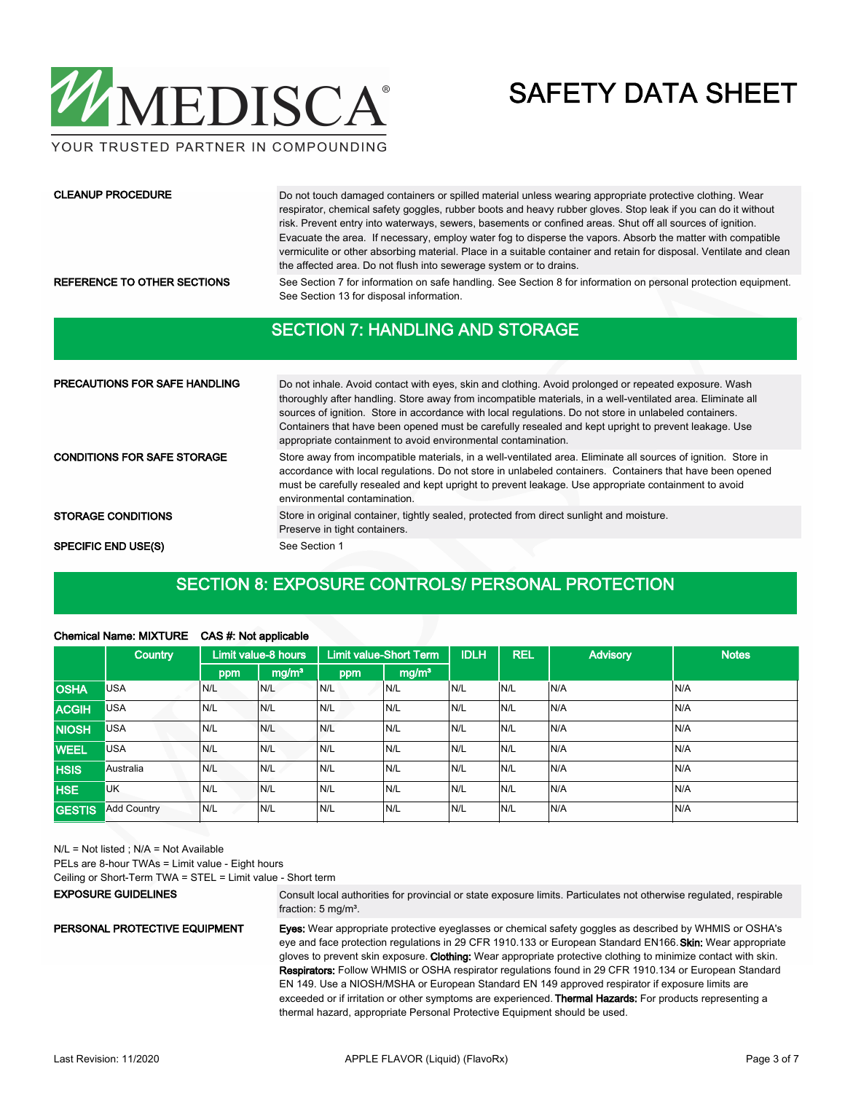

YOUR TRUSTED PARTNER IN COMPOUNDING

#### CLEANUP PROCEDURE

Do not touch damaged containers or spilled material unless wearing appropriate protective clothing. Wear respirator, chemical safety goggles, rubber boots and heavy rubber gloves. Stop leak if you can do it without risk. Prevent entry into waterways, sewers, basements or confined areas. Shut off all sources of ignition. Evacuate the area. If necessary, employ water fog to disperse the vapors. Absorb the matter with compatible vermiculite or other absorbing material. Place in a suitable container and retain for disposal. Ventilate and clean the affected area. Do not flush into sewerage system or to drains.

REFERENCE TO OTHER SECTIONS See Section 7 for information on safe handling. See Section 8 for information on personal protection equipment. See Section 13 for disposal information.

### SECTION 7: HANDLING AND STORAGE

| <b>PRECAUTIONS FOR SAFE HANDLING</b> | Do not inhale. Avoid contact with eyes, skin and clothing. Avoid prolonged or repeated exposure. Wash<br>thoroughly after handling. Store away from incompatible materials, in a well-ventilated area. Eliminate all<br>sources of ignition. Store in accordance with local regulations. Do not store in unlabeled containers.<br>Containers that have been opened must be carefully resealed and kept upright to prevent leakage. Use<br>appropriate containment to avoid environmental contamination. |
|--------------------------------------|---------------------------------------------------------------------------------------------------------------------------------------------------------------------------------------------------------------------------------------------------------------------------------------------------------------------------------------------------------------------------------------------------------------------------------------------------------------------------------------------------------|
| <b>CONDITIONS FOR SAFE STORAGE</b>   | Store away from incompatible materials, in a well-ventilated area. Eliminate all sources of ignition. Store in<br>accordance with local regulations. Do not store in unlabeled containers. Containers that have been opened<br>must be carefully resealed and kept upright to prevent leakage. Use appropriate containment to avoid<br>environmental contamination.                                                                                                                                     |
| <b>STORAGE CONDITIONS</b>            | Store in original container, tightly sealed, protected from direct sunlight and moisture.<br>Preserve in tight containers.                                                                                                                                                                                                                                                                                                                                                                              |
| <b>SPECIFIC END USE(S)</b>           | See Section 1                                                                                                                                                                                                                                                                                                                                                                                                                                                                                           |

## SECTION 8: EXPOSURE CONTROLS/ PERSONAL PROTECTION

### Chemical Name: MIXTURE CAS #: Not applicable

|               | Country            |     | Limit value-8 hours |     |                   | Limit value-Short Term |     | <b>IDLH</b> | <b>REL</b> | <b>Advisory</b> | <b>Notes</b> |
|---------------|--------------------|-----|---------------------|-----|-------------------|------------------------|-----|-------------|------------|-----------------|--------------|
|               |                    | ppm | mg/m <sup>3</sup>   | ppm | mg/m <sup>3</sup> |                        |     |             |            |                 |              |
| <b>OSHA</b>   | <b>USA</b>         | N/L | N/L                 | N/L | N/L               | N/L                    | N/L | N/A         | N/A        |                 |              |
| <b>ACGIH</b>  | <b>USA</b>         | N/L | N/L                 | N/L | N/L               | N/L                    | N/L | N/A         | N/A        |                 |              |
| <b>NIOSH</b>  | <b>USA</b>         | N/L | N/L                 | N/L | N/L               | N/L                    | N/L | N/A         | N/A        |                 |              |
| <b>WEEL</b>   | <b>USA</b>         | N/L | N/L                 | N/L | N/L               | N/L                    | N/L | N/A         | N/A        |                 |              |
| <b>HSIS</b>   | Australia          | N/L | N/L                 | N/L | N/L               | N/L                    | N/L | N/A         | N/A        |                 |              |
| <b>HSE</b>    | <b>UK</b>          | N/L | N/L                 | N/L | N/L               | N/L                    | N/L | N/A         | N/A        |                 |              |
| <b>GESTIS</b> | <b>Add Country</b> | N/L | N/L                 | N/L | N/L               | N/L                    | N/L | N/A         | N/A        |                 |              |

N/L = Not listed ; N/A = Not Available

PELs are 8-hour TWAs = Limit value - Eight hours

Ceiling or Short-Term TWA = STEL = Limit value - Short term

#### EXPOSURE GUIDELINES

Consult local authorities for provincial or state exposure limits. Particulates not otherwise regulated, respirable fraction: 5 mg/m<sup>3</sup>.

#### PERSONAL PROTECTIVE EQUIPMENT

Eyes: Wear appropriate protective eyeglasses or chemical safety goggles as described by WHMIS or OSHA's eye and face protection regulations in 29 CFR 1910.133 or European Standard EN166. Skin: Wear appropriate gloves to prevent skin exposure. Clothing: Wear appropriate protective clothing to minimize contact with skin. Respirators: Follow WHMIS or OSHA respirator regulations found in 29 CFR 1910.134 or European Standard

EN 149. Use a NIOSH/MSHA or European Standard EN 149 approved respirator if exposure limits are exceeded or if irritation or other symptoms are experienced. Thermal Hazards: For products representing a thermal hazard, appropriate Personal Protective Equipment should be used.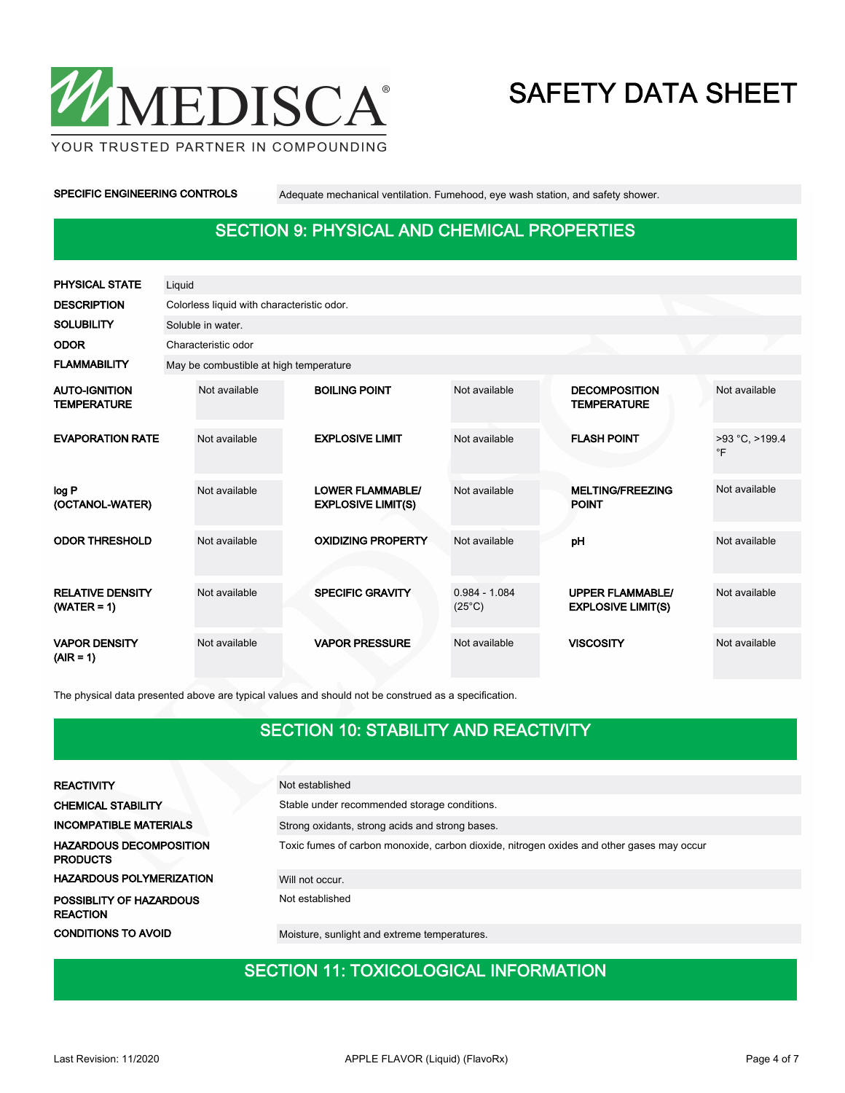

YOUR TRUSTED PARTNER IN COMPOUNDING

SPECIFIC ENGINEERING CONTROLS Adequate mechanical ventilation. Fumehood, eye wash station, and safety shower.

## SECTION 9: PHYSICAL AND CHEMICAL PROPERTIES

| <b>PHYSICAL STATE</b>                      | Liquid        |                                            |  |                                                      |                                    |  |                                                      |                             |  |  |  |
|--------------------------------------------|---------------|--------------------------------------------|--|------------------------------------------------------|------------------------------------|--|------------------------------------------------------|-----------------------------|--|--|--|
| <b>DESCRIPTION</b>                         |               | Colorless liquid with characteristic odor. |  |                                                      |                                    |  |                                                      |                             |  |  |  |
| <b>SOLUBILITY</b>                          |               | Soluble in water.                          |  |                                                      |                                    |  |                                                      |                             |  |  |  |
| <b>ODOR</b>                                |               | Characteristic odor                        |  |                                                      |                                    |  |                                                      |                             |  |  |  |
| <b>FLAMMABILITY</b>                        |               | May be combustible at high temperature     |  |                                                      |                                    |  |                                                      |                             |  |  |  |
| <b>AUTO-IGNITION</b><br><b>TEMPERATURE</b> | Not available |                                            |  | <b>BOILING POINT</b>                                 | Not available                      |  | <b>DECOMPOSITION</b><br><b>TEMPERATURE</b>           | Not available               |  |  |  |
| <b>EVAPORATION RATE</b>                    |               | Not available                              |  | <b>EXPLOSIVE LIMIT</b>                               | Not available                      |  | <b>FLASH POINT</b>                                   | >93 °C, >199.4<br>$\circ$ F |  |  |  |
| log P<br>(OCTANOL-WATER)                   |               | Not available                              |  | <b>LOWER FLAMMABLE/</b><br><b>EXPLOSIVE LIMIT(S)</b> | Not available                      |  | <b>MELTING/FREEZING</b><br><b>POINT</b>              | Not available               |  |  |  |
| <b>ODOR THRESHOLD</b>                      |               | Not available                              |  | <b>OXIDIZING PROPERTY</b>                            | Not available                      |  | pH                                                   | Not available               |  |  |  |
| <b>RELATIVE DENSITY</b><br>$(WATER = 1)$   |               | Not available                              |  | <b>SPECIFIC GRAVITY</b>                              | $0.984 - 1.084$<br>$(25^{\circ}C)$ |  | <b>UPPER FLAMMABLE/</b><br><b>EXPLOSIVE LIMIT(S)</b> | Not available               |  |  |  |
| <b>VAPOR DENSITY</b><br>$(AIR = 1)$        |               | Not available                              |  | <b>VAPOR PRESSURE</b>                                | Not available                      |  | <b>VISCOSITY</b>                                     | Not available               |  |  |  |

The physical data presented above are typical values and should not be construed as a specification.

## SECTION 10: STABILITY AND REACTIVITY

| <b>REACTIVITY</b>                                 | Not established                                                                           |
|---------------------------------------------------|-------------------------------------------------------------------------------------------|
| <b>CHEMICAL STABILITY</b>                         | Stable under recommended storage conditions.                                              |
| <b>INCOMPATIBLE MATERIALS</b>                     | Strong oxidants, strong acids and strong bases.                                           |
| <b>HAZARDOUS DECOMPOSITION</b><br><b>PRODUCTS</b> | Toxic fumes of carbon monoxide, carbon dioxide, nitrogen oxides and other gases may occur |
| <b>HAZARDOUS POLYMERIZATION</b>                   | Will not occur.                                                                           |
| POSSIBLITY OF HAZARDOUS<br><b>REACTION</b>        | Not established                                                                           |
| <b>CONDITIONS TO AVOID</b>                        | Moisture, sunlight and extreme temperatures.                                              |

# **SECTION 11: TOXICOLOGICAL INFORMATION**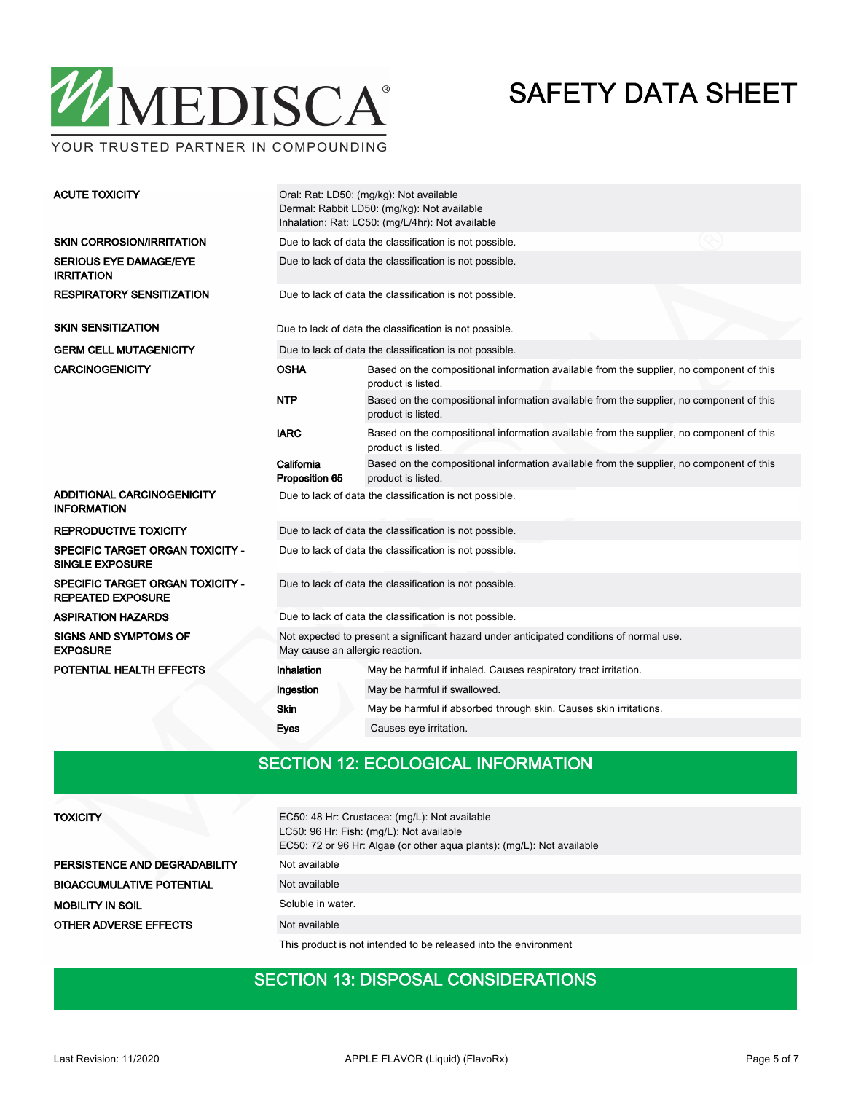

YOUR TRUSTED PARTNER IN COMPOUNDING

| <b>ACUTE TOXICITY</b>                                               | Oral: Rat: LD50: (mg/kg): Not available<br>Dermal: Rabbit LD50: (mg/kg): Not available<br>Inhalation: Rat: LC50: (mg/L/4hr): Not available     |                                                                                                                |  |  |  |  |  |  |
|---------------------------------------------------------------------|------------------------------------------------------------------------------------------------------------------------------------------------|----------------------------------------------------------------------------------------------------------------|--|--|--|--|--|--|
| <b>SKIN CORROSION/IRRITATION</b>                                    |                                                                                                                                                | Due to lack of data the classification is not possible.                                                        |  |  |  |  |  |  |
| <b>SERIOUS EYE DAMAGE/EYE</b><br><b>IRRITATION</b>                  |                                                                                                                                                | Due to lack of data the classification is not possible.                                                        |  |  |  |  |  |  |
| <b>RESPIRATORY SENSITIZATION</b>                                    | Due to lack of data the classification is not possible.                                                                                        |                                                                                                                |  |  |  |  |  |  |
| <b>SKIN SENSITIZATION</b>                                           |                                                                                                                                                | Due to lack of data the classification is not possible.                                                        |  |  |  |  |  |  |
| <b>GERM CELL MUTAGENICITY</b>                                       |                                                                                                                                                | Due to lack of data the classification is not possible.                                                        |  |  |  |  |  |  |
| <b>CARCINOGENICITY</b>                                              | <b>OSHA</b>                                                                                                                                    | Based on the compositional information available from the supplier, no component of this<br>product is listed. |  |  |  |  |  |  |
|                                                                     | <b>NTP</b>                                                                                                                                     | Based on the compositional information available from the supplier, no component of this<br>product is listed. |  |  |  |  |  |  |
|                                                                     | <b>IARC</b>                                                                                                                                    | Based on the compositional information available from the supplier, no component of this<br>product is listed. |  |  |  |  |  |  |
|                                                                     | California<br>Based on the compositional information available from the supplier, no component of this<br>Proposition 65<br>product is listed. |                                                                                                                |  |  |  |  |  |  |
| ADDITIONAL CARCINOGENICITY<br><b>INFORMATION</b>                    |                                                                                                                                                | Due to lack of data the classification is not possible.                                                        |  |  |  |  |  |  |
| <b>REPRODUCTIVE TOXICITY</b>                                        |                                                                                                                                                | Due to lack of data the classification is not possible.                                                        |  |  |  |  |  |  |
| <b>SPECIFIC TARGET ORGAN TOXICITY -</b><br><b>SINGLE EXPOSURE</b>   |                                                                                                                                                | Due to lack of data the classification is not possible.                                                        |  |  |  |  |  |  |
| <b>SPECIFIC TARGET ORGAN TOXICITY -</b><br><b>REPEATED EXPOSURE</b> |                                                                                                                                                | Due to lack of data the classification is not possible.                                                        |  |  |  |  |  |  |
| <b>ASPIRATION HAZARDS</b>                                           |                                                                                                                                                | Due to lack of data the classification is not possible.                                                        |  |  |  |  |  |  |
| <b>SIGNS AND SYMPTOMS OF</b><br><b>EXPOSURE</b>                     | May cause an allergic reaction.                                                                                                                | Not expected to present a significant hazard under anticipated conditions of normal use.                       |  |  |  |  |  |  |
| POTENTIAL HEALTH EFFECTS                                            | Inhalation                                                                                                                                     | May be harmful if inhaled. Causes respiratory tract irritation.                                                |  |  |  |  |  |  |
|                                                                     | Ingestion                                                                                                                                      | May be harmful if swallowed.                                                                                   |  |  |  |  |  |  |
|                                                                     | <b>Skin</b>                                                                                                                                    | May be harmful if absorbed through skin. Causes skin irritations.                                              |  |  |  |  |  |  |
|                                                                     | Eyes                                                                                                                                           | Causes eye irritation.                                                                                         |  |  |  |  |  |  |
|                                                                     |                                                                                                                                                |                                                                                                                |  |  |  |  |  |  |

## SECTION 12: ECOLOGICAL INFORMATION

| TOXICITY                         | EC50: 48 Hr: Crustacea: (mg/L): Not available<br>LC50: 96 Hr: Fish: (mg/L): Not available<br>EC50: 72 or 96 Hr: Algae (or other aqua plants): (mg/L): Not available |
|----------------------------------|---------------------------------------------------------------------------------------------------------------------------------------------------------------------|
| PERSISTENCE AND DEGRADABILITY    | Not available                                                                                                                                                       |
| <b>BIOACCUMULATIVE POTENTIAL</b> | Not available                                                                                                                                                       |
| <b>MOBILITY IN SOIL</b>          | Soluble in water.                                                                                                                                                   |
| <b>OTHER ADVERSE EFFECTS</b>     | Not available                                                                                                                                                       |
|                                  | This product is not intended to be released into the environment                                                                                                    |

## SECTION 13: DISPOSAL CONSIDERATIONS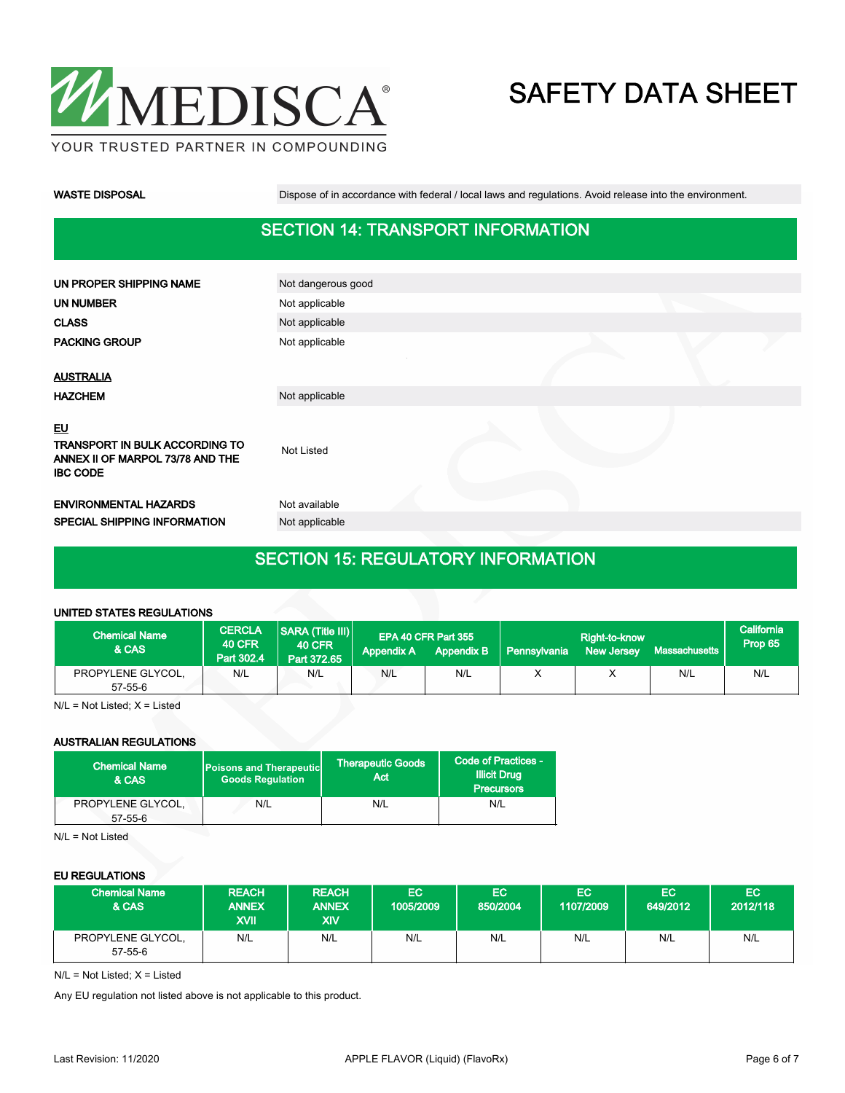

WASTE DISPOSAL **Dispose of in accordance with federal / local laws and regulations**. Avoid release into the environment.

## SECTION 14: TRANSPORT INFORMATION

| UN PROPER SHIPPING NAME                                                                            | Not dangerous good |  |  |
|----------------------------------------------------------------------------------------------------|--------------------|--|--|
| <b>UN NUMBER</b>                                                                                   | Not applicable     |  |  |
| <b>CLASS</b>                                                                                       | Not applicable     |  |  |
| <b>PACKING GROUP</b>                                                                               | Not applicable     |  |  |
|                                                                                                    |                    |  |  |
| <b>AUSTRALIA</b>                                                                                   |                    |  |  |
| <b>HAZCHEM</b>                                                                                     | Not applicable     |  |  |
| EU<br><b>TRANSPORT IN BULK ACCORDING TO</b><br>ANNEX II OF MARPOL 73/78 AND THE<br><b>IBC CODE</b> | Not Listed         |  |  |
| <b>ENVIRONMENTAL HAZARDS</b>                                                                       | Not available      |  |  |
| SPECIAL SHIPPING INFORMATION                                                                       | Not applicable     |  |  |
|                                                                                                    |                    |  |  |

## SECTION 15: REGULATORY INFORMATION

#### UNITED STATES REGULATIONS

| <b>Chemical Name</b><br>& CAS      | <b>CERCLA</b><br><b>40 CFR</b><br>Part 302.4 | SARA (Title III)<br><b>40 CFR</b><br>Part 372.65 | <b>Appendix A</b> | EPA 40 CFR Part 355<br><b>Appendix B</b> | <b>Pennsylvania</b> | Right-to-know<br><b>New Jersey</b> | Massachusetts | California<br>Prop 65 |
|------------------------------------|----------------------------------------------|--------------------------------------------------|-------------------|------------------------------------------|---------------------|------------------------------------|---------------|-----------------------|
| PROPYLENE GLYCOL.<br>$57 - 55 - 6$ | N/L                                          | N/L                                              | N/L               | N/L                                      |                     |                                    | N/L           | N/L                   |

N/L = Not Listed; X = Listed

#### AUSTRALIAN REGULATIONS

| Chemical Name<br>& CAS             | <b>Poisons and Therapeutic</b><br><b>Goods Requlation</b> | <b>Therapeutic Goods</b><br>Act | Code of Practices -<br><b>Illicit Drug</b><br><b>Precursors</b> |  |
|------------------------------------|-----------------------------------------------------------|---------------------------------|-----------------------------------------------------------------|--|
| PROPYLENE GLYCOL,<br>$57 - 55 - 6$ | N/L                                                       | N/L                             | N/L                                                             |  |

N/L = Not Listed

#### EU REGULATIONS

| <b>Chemical Name</b><br>& CAS | <b>REACH</b><br><b>ANNEX</b><br><b>XVII</b> | <b>REACH</b><br><b>ANNEX</b><br><b>XIV</b> | EC<br>1005/2009 | EC'<br>850/2004 | EC.<br>1107/2009 | EC.<br>649/2012 | EC.<br>2012/118 |
|-------------------------------|---------------------------------------------|--------------------------------------------|-----------------|-----------------|------------------|-----------------|-----------------|
| PROPYLENE GLYCOL,<br>57-55-6  | N/L                                         | N/L                                        | N/L             | N/L             | N/L              | N/L             | N/L             |

 $N/L = Not$  Listed;  $X =$  Listed

Any EU regulation not listed above is not applicable to this product.